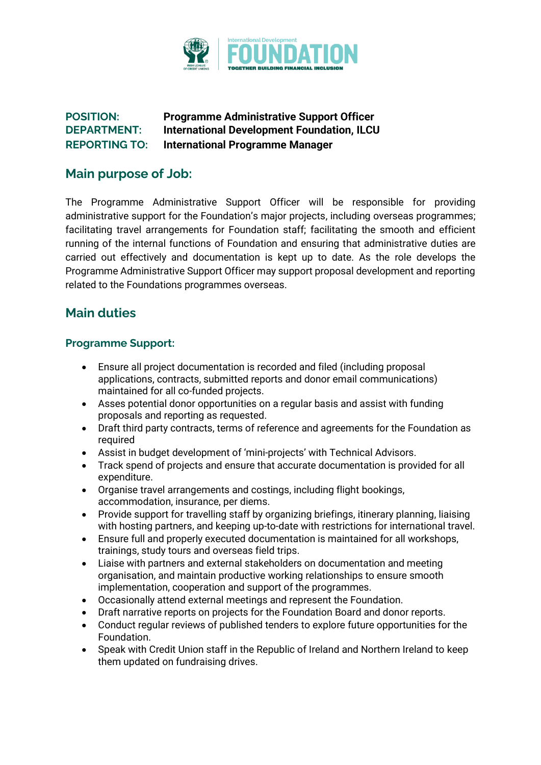

## **POSITION: Programme Administrative Support Officer DEPARTMENT: International Development Foundation, ILCU REPORTING TO: International Programme Manager**

## **Main purpose of Job:**

The Programme Administrative Support Officer will be responsible for providing administrative support for the Foundation's major projects, including overseas programmes; facilitating travel arrangements for Foundation staff; facilitating the smooth and efficient running of the internal functions of Foundation and ensuring that administrative duties are carried out effectively and documentation is kept up to date. As the role develops the Programme Administrative Support Officer may support proposal development and reporting related to the Foundations programmes overseas.

# **Main duties**

### **Programme Support:**

- Ensure all project documentation is recorded and filed (including proposal applications, contracts, submitted reports and donor email communications) maintained for all co-funded projects.
- Asses potential donor opportunities on a regular basis and assist with funding proposals and reporting as requested.
- Draft third party contracts, terms of reference and agreements for the Foundation as required
- Assist in budget development of 'mini-projects' with Technical Advisors.
- Track spend of projects and ensure that accurate documentation is provided for all expenditure.
- Organise travel arrangements and costings, including flight bookings, accommodation, insurance, per diems.
- Provide support for travelling staff by organizing briefings, itinerary planning, liaising with hosting partners, and keeping up-to-date with restrictions for international travel.
- Ensure full and properly executed documentation is maintained for all workshops, trainings, study tours and overseas field trips.
- Liaise with partners and external stakeholders on documentation and meeting organisation, and maintain productive working relationships to ensure smooth implementation, cooperation and support of the programmes.
- Occasionally attend external meetings and represent the Foundation.
- Draft narrative reports on projects for the Foundation Board and donor reports.
- Conduct regular reviews of published tenders to explore future opportunities for the Foundation.
- Speak with Credit Union staff in the Republic of Ireland and Northern Ireland to keep them updated on fundraising drives.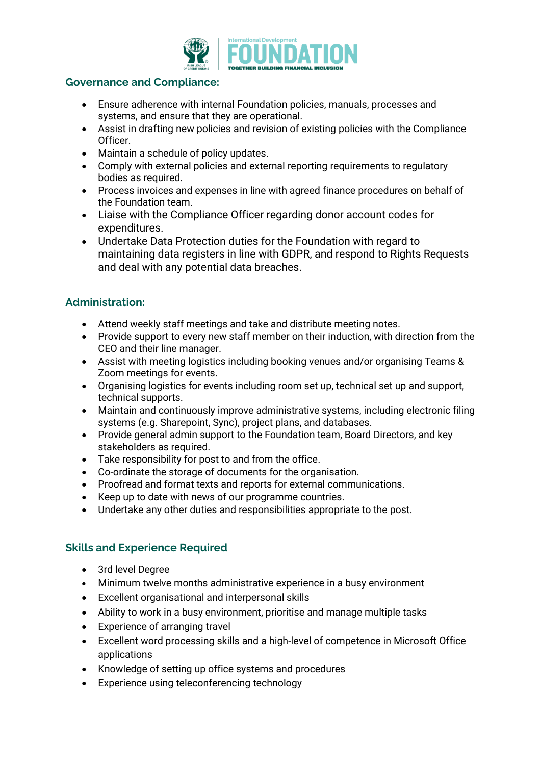

### **Governance and Compliance:**

- Ensure adherence with internal Foundation policies, manuals, processes and systems, and ensure that they are operational.
- Assist in drafting new policies and revision of existing policies with the Compliance Officer.
- Maintain a schedule of policy updates.
- Comply with external policies and external reporting requirements to regulatory bodies as required.
- Process invoices and expenses in line with agreed finance procedures on behalf of the Foundation team.
- Liaise with the Compliance Officer regarding donor account codes for expenditures.
- Undertake Data Protection duties for the Foundation with regard to maintaining data registers in line with GDPR, and respond to Rights Requests and deal with any potential data breaches.

## **Administration:**

- Attend weekly staff meetings and take and distribute meeting notes.
- Provide support to every new staff member on their induction, with direction from the CEO and their line manager.
- Assist with meeting logistics including booking venues and/or organising Teams & Zoom meetings for events.
- Organising logistics for events including room set up, technical set up and support, technical supports.
- Maintain and continuously improve administrative systems, including electronic filing systems (e.g. Sharepoint, Sync), project plans, and databases.
- Provide general admin support to the Foundation team, Board Directors, and key stakeholders as required.
- Take responsibility for post to and from the office.
- Co-ordinate the storage of documents for the organisation.
- Proofread and format texts and reports for external communications.
- Keep up to date with news of our programme countries.
- Undertake any other duties and responsibilities appropriate to the post.

## **Skills and Experience Required**

- 3rd level Degree
- Minimum twelve months administrative experience in a busy environment
- Excellent organisational and interpersonal skills
- Ability to work in a busy environment, prioritise and manage multiple tasks
- Experience of arranging travel
- Excellent word processing skills and a high-level of competence in Microsoft Office applications
- Knowledge of setting up office systems and procedures
- Experience using teleconferencing technology